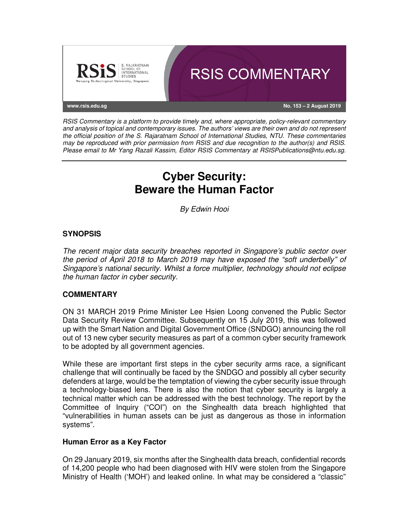

RSIS Commentary is a platform to provide timely and, where appropriate, policy-relevant commentary and analysis of topical and contemporary issues. The authors' views are their own and do not represent the official position of the S. Rajaratnam School of International Studies, NTU. These commentaries may be reproduced with prior permission from RSIS and due recognition to the author(s) and RSIS. Please email to Mr Yang Razali Kassim, Editor RSIS Commentary at RSISPublications@ntu.edu.sg.

# **Cyber Security: Beware the Human Factor**

By Edwin Hooi

## **SYNOPSIS**

The recent major data security breaches reported in Singapore's public sector over the period of April 2018 to March 2019 may have exposed the "soft underbelly" of Singapore's national security. Whilst a force multiplier, technology should not eclipse the human factor in cyber security.

### **COMMENTARY**

ON 31 MARCH 2019 Prime Minister Lee Hsien Loong convened the Public Sector Data Security Review Committee. Subsequently on 15 July 2019, this was followed up with the Smart Nation and Digital Government Office (SNDGO) announcing the roll out of 13 new cyber security measures as part of a common cyber security framework to be adopted by all government agencies.

While these are important first steps in the cyber security arms race, a significant challenge that will continually be faced by the SNDGO and possibly all cyber security defenders at large, would be the temptation of viewing the cyber security issue through a technology-biased lens. There is also the notion that cyber security is largely a technical matter which can be addressed with the best technology. The report by the Committee of Inquiry ("COI") on the Singhealth data breach highlighted that "vulnerabilities in human assets can be just as dangerous as those in information systems".

### **Human Error as a Key Factor**

On 29 January 2019, six months after the Singhealth data breach, confidential records of 14,200 people who had been diagnosed with HIV were stolen from the Singapore Ministry of Health ('MOH') and leaked online. In what may be considered a "classic"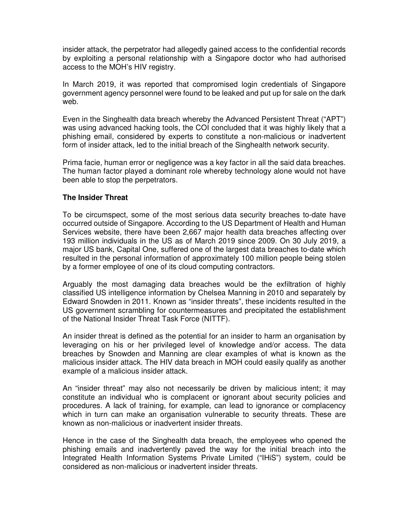insider attack, the perpetrator had allegedly gained access to the confidential records by exploiting a personal relationship with a Singapore doctor who had authorised access to the MOH's HIV registry.

In March 2019, it was reported that compromised login credentials of Singapore government agency personnel were found to be leaked and put up for sale on the dark web.

Even in the Singhealth data breach whereby the Advanced Persistent Threat ("APT") was using advanced hacking tools, the COI concluded that it was highly likely that a phishing email, considered by experts to constitute a non-malicious or inadvertent form of insider attack, led to the initial breach of the Singhealth network security.

Prima facie, human error or negligence was a key factor in all the said data breaches. The human factor played a dominant role whereby technology alone would not have been able to stop the perpetrators.

### **The Insider Threat**

To be circumspect, some of the most serious data security breaches to-date have occurred outside of Singapore. According to the US Department of Health and Human Services website, there have been 2,667 major health data breaches affecting over 193 million individuals in the US as of March 2019 since 2009. On 30 July 2019, a major US bank, Capital One, suffered one of the largest data breaches to-date which resulted in the personal information of approximately 100 million people being stolen by a former employee of one of its cloud computing contractors.

Arguably the most damaging data breaches would be the exfiltration of highly classified US intelligence information by Chelsea Manning in 2010 and separately by Edward Snowden in 2011. Known as "insider threats", these incidents resulted in the US government scrambling for countermeasures and precipitated the establishment of the National Insider Threat Task Force (NITTF).

An insider threat is defined as the potential for an insider to harm an organisation by leveraging on his or her privileged level of knowledge and/or access. The data breaches by Snowden and Manning are clear examples of what is known as the malicious insider attack. The HIV data breach in MOH could easily qualify as another example of a malicious insider attack.

An "insider threat" may also not necessarily be driven by malicious intent; it may constitute an individual who is complacent or ignorant about security policies and procedures. A lack of training, for example, can lead to ignorance or complacency which in turn can make an organisation vulnerable to security threats. These are known as non-malicious or inadvertent insider threats.

Hence in the case of the Singhealth data breach, the employees who opened the phishing emails and inadvertently paved the way for the initial breach into the Integrated Health Information Systems Private Limited ("IHiS") system, could be considered as non-malicious or inadvertent insider threats.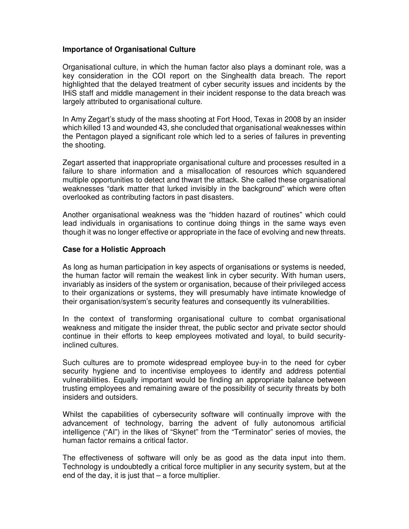### **Importance of Organisational Culture**

Organisational culture, in which the human factor also plays a dominant role, was a key consideration in the COI report on the Singhealth data breach. The report highlighted that the delayed treatment of cyber security issues and incidents by the IHiS staff and middle management in their incident response to the data breach was largely attributed to organisational culture.

In Amy Zegart's study of the mass shooting at Fort Hood, Texas in 2008 by an insider which killed 13 and wounded 43, she concluded that organisational weaknesses within the Pentagon played a significant role which led to a series of failures in preventing the shooting.

Zegart asserted that inappropriate organisational culture and processes resulted in a failure to share information and a misallocation of resources which squandered multiple opportunities to detect and thwart the attack. She called these organisational weaknesses "dark matter that lurked invisibly in the background" which were often overlooked as contributing factors in past disasters.

Another organisational weakness was the "hidden hazard of routines" which could lead individuals in organisations to continue doing things in the same ways even though it was no longer effective or appropriate in the face of evolving and new threats.

#### **Case for a Holistic Approach**

As long as human participation in key aspects of organisations or systems is needed, the human factor will remain the weakest link in cyber security. With human users, invariably as insiders of the system or organisation, because of their privileged access to their organizations or systems, they will presumably have intimate knowledge of their organisation/system's security features and consequently its vulnerabilities.

In the context of transforming organisational culture to combat organisational weakness and mitigate the insider threat, the public sector and private sector should continue in their efforts to keep employees motivated and loyal, to build securityinclined cultures.

Such cultures are to promote widespread employee buy-in to the need for cyber security hygiene and to incentivise employees to identify and address potential vulnerabilities. Equally important would be finding an appropriate balance between trusting employees and remaining aware of the possibility of security threats by both insiders and outsiders.

Whilst the capabilities of cybersecurity software will continually improve with the advancement of technology, barring the advent of fully autonomous artificial intelligence ("AI") in the likes of "Skynet" from the "Terminator" series of movies, the human factor remains a critical factor.

The effectiveness of software will only be as good as the data input into them. Technology is undoubtedly a critical force multiplier in any security system, but at the end of the day, it is just that  $-$  a force multiplier.